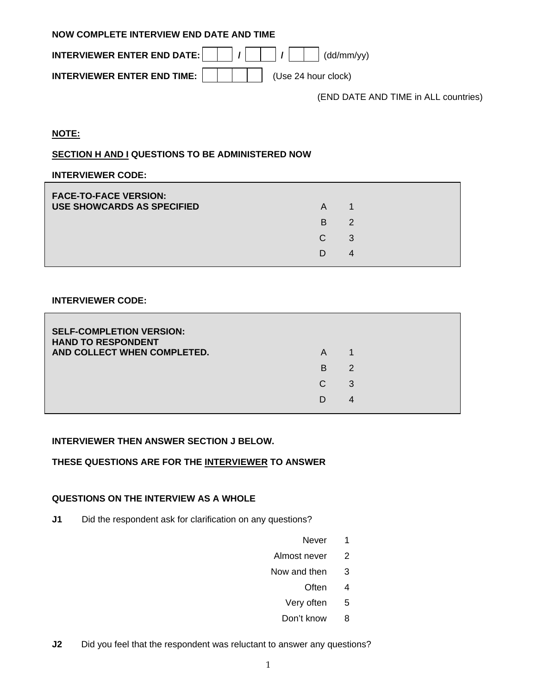| NOW COMPLETE INTERVIEW END DATE AND TIME |                                                                                                                                                        |  |  |  |  |
|------------------------------------------|--------------------------------------------------------------------------------------------------------------------------------------------------------|--|--|--|--|
|                                          |                                                                                                                                                        |  |  |  |  |
|                                          | <b>INTERVIEWER ENTER END TIME:</b> $\begin{array}{ c c c c c } \hline \end{array}$ $\begin{array}{ c c c c c } \hline \end{array}$ (Use 24 hour clock) |  |  |  |  |

(END DATE AND TIME in ALL countries)

## **NOTE:**

# **SECTION H AND I QUESTIONS TO BE ADMINISTERED NOW**

#### **INTERVIEWER CODE:**

| A  |               |
|----|---------------|
| B. | $\mathcal{P}$ |
| C. | 3             |
| D  | 4             |
|    |               |

#### **INTERVIEWER CODE:**

| <b>SELF-COMPLETION VERSION:</b><br><b>HAND TO RESPONDENT</b><br>AND COLLECT WHEN COMPLETED. | A  |   |  |
|---------------------------------------------------------------------------------------------|----|---|--|
|                                                                                             | B. | 2 |  |
|                                                                                             | C. | 3 |  |
|                                                                                             | D  | 4 |  |
|                                                                                             |    |   |  |

#### **INTERVIEWER THEN ANSWER SECTION J BELOW.**

# **THESE QUESTIONS ARE FOR THE INTERVIEWER TO ANSWER**

#### **QUESTIONS ON THE INTERVIEW AS A WHOLE**

- **J1** Did the respondent ask for clarification on any questions?
- Never 1
	- Almost never 2
	- Now and then 3
- often 4 and 10 and 10 and 10 and 10 and 10 and 10 and 10 and 10 and 10 and 10 and 10 and 10 and 10 and 10 and 1
	- Very often 5
	- Don't know 8
- **J2** Did you feel that the respondent was reluctant to answer any questions?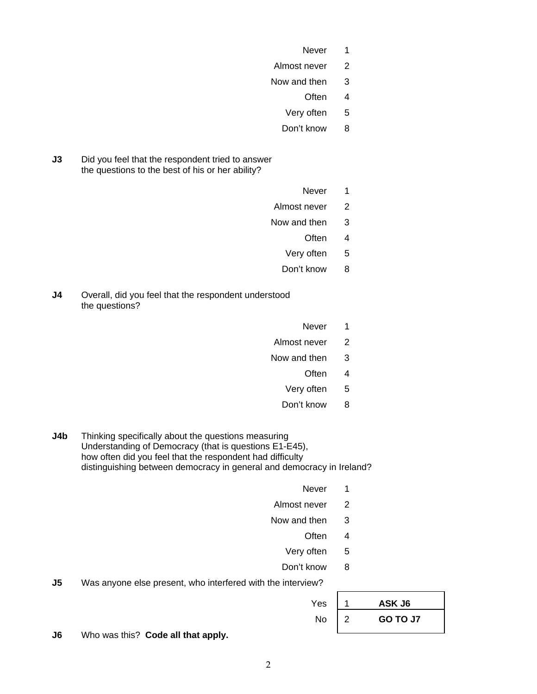- Never 1
	- Almost never 2
	- Now and then 3
- often 4 and 10 and 10 and 10 and 10 and 10 and 10 and 10 and 10 and 10 and 10 and 10 and 10 and 10 and 10 and 1
	- Very often 5
	- Don't know 8
- **J3** Did you feel that the respondent tried to answer the questions to the best of his or her ability?
- *Never* 1
	- Almost never 2
	- Now and then 3
- often 4 and 10 and 10 and 10 and 10 and 10 and 10 and 10 and 10 and 10 and 10 and 10 and 10 and 10 and 10 and 1
	- Very often 5
	- Don't know 8
- **J4** Overall, did you feel that the respondent understood the questions?
- Never 1
	- Almost never 2
	- Now and then 3
- often 4 and 10 and 10 and 10 and 10 and 10 and 10 and 10 and 10 and 10 and 10 and 10 and 10 and 10 and 10 and 1
	- Very often 5
	- Don't know 8
- **J4b** Thinking specifically about the questions measuring Understanding of Democracy (that is questions E1-E45), how often did you feel that the respondent had difficulty distinguishing between democracy in general and democracy in Ireland?
- Never 1
	- Almost never 2
	- Now and then 3
- often 4 and 10 and 10 and 10 and 10 and 10 and 10 and 10 and 10 and 10 and 10 and 10 and 10 and 10 and 10 and 1
	- Very often 5
	- Don't know 8
- **J5** Was anyone else present, who interfered with the interview?

|  | $Yes \mid 1$ ASK J6                                     |
|--|---------------------------------------------------------|
|  | No $\begin{vmatrix} 2 \\ 0 \\ 0 \end{vmatrix}$ GO TO J7 |

**J6** Who was this? **Code all that apply.**